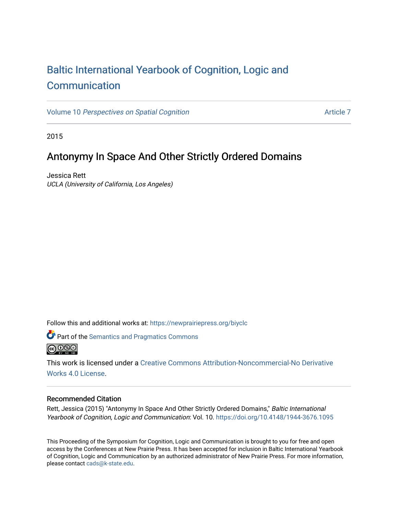# [Baltic International Yearbook of Cognition, Logic and](https://newprairiepress.org/biyclc)  **[Communication](https://newprairiepress.org/biyclc)**

Volume 10 [Perspectives on Spatial Cognition](https://newprairiepress.org/biyclc/vol10) [Article 7](https://newprairiepress.org/biyclc/vol10/iss1/7) Article 7

2015

# Antonymy In Space And Other Strictly Ordered Domains

Jessica Rett UCLA (University of California, Los Angeles)

Follow this and additional works at: [https://newprairiepress.org/biyclc](https://newprairiepress.org/biyclc?utm_source=newprairiepress.org%2Fbiyclc%2Fvol10%2Fiss1%2F7&utm_medium=PDF&utm_campaign=PDFCoverPages) 



**P** Part of the [Semantics and Pragmatics Commons](http://network.bepress.com/hgg/discipline/383?utm_source=newprairiepress.org%2Fbiyclc%2Fvol10%2Fiss1%2F7&utm_medium=PDF&utm_campaign=PDFCoverPages)



This work is licensed under a [Creative Commons Attribution-Noncommercial-No Derivative](https://creativecommons.org/licenses/by-nc-nd/4.0/)  [Works 4.0 License](https://creativecommons.org/licenses/by-nc-nd/4.0/).

### Recommended Citation

Rett, Jessica (2015) "Antonymy In Space And Other Strictly Ordered Domains," Baltic International Yearbook of Cognition, Logic and Communication: Vol. 10.<https://doi.org/10.4148/1944-3676.1095>

This Proceeding of the Symposium for Cognition, Logic and Communication is brought to you for free and open access by the Conferences at New Prairie Press. It has been accepted for inclusion in Baltic International Yearbook of Cognition, Logic and Communication by an authorized administrator of New Prairie Press. For more information, please contact [cads@k-state.edu.](mailto:cads@k-state.edu)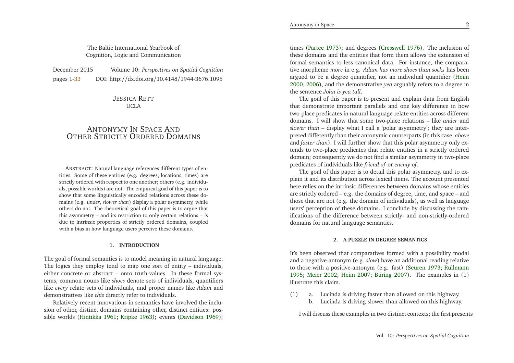| December 2015 | Volume 10: Perspectives on Spatial Cognition  |
|---------------|-----------------------------------------------|
| pages 1-33    | DOI: http://dx.doi.org/10.4148/1944-3676.1095 |

JESSICA <sup>R</sup>ETT UCLA

## ANTONYMY IN SPACE AND<br>p Strictly Ordered Doi OTHER <sup>S</sup>TRICTLY <sup>O</sup>RDERED <sup>D</sup>OMAINS

ABSTRACT: Natural language references different types of entities. Some of these entities (e.g. degrees, locations, times) are strictly ordered with respec<sup>t</sup> to one another; others (e.g. individuals, possible worlds) are not. The empirical goal of this paper is to show that some linguistically encoded relations across these domains (e.g. *under*, *slower than*) display <sup>a</sup> polar asymmetry, while others do not. The theoretical goal of this paper is to argue that this asymmetry – and its restriction to only certain relations – is due to intrinsic properties of strictly ordered domains, coupledwith <sup>a</sup> bias in how language users perceive these domains.

#### **1. INTRODUCTION**

The goal of formal semantics is to model meaning in natural language. The logics they employ tend to map one sort of entity – individuals, either concrete or abstract – onto truth-values. In these formal systems, common nouns like *shoes* denote sets of individuals, quantifiers like *every* relate sets of individuals, and proper names like *Adam* and demonstratives like *this* directly refer to individuals.

Relatively recent innovations in semantics have involved the inclusion of other, distinct domains containing other, distinct entities: possible worlds [\(Hintikka](#page-16-0) [1961](#page-16-0); [Kripke](#page-16-1) [1963](#page-16-1)); events [\(Davidson](#page-16-2) [1969](#page-16-2));

times [\(Partee](#page-16-3) [1973](#page-16-3)); and degrees [\(Cresswell](#page-16-4) [1976](#page-16-4)). The inclusion of these domains and the entities that form them allows the extension of formal semantics to less canonical data. For instance, the comparative morpheme *more* in e.g. *Adam has more shoes than socks* has been argued to be <sup>a</sup> degree quantifier, not an individual quantifier [\(Heim](#page-16-5) [2000](#page-16-5), [2006](#page-16-6)), and the demonstrative *yea* arguably refers to <sup>a</sup> degree inthe sentence *John is yea tall*.

The goal of this paper is to presen<sup>t</sup> and explain data from English that demonstrate important parallels and one key difference in how two-place predicates in natural language relate entities across different domains. <sup>I</sup> will show that some two-place relations – like *under* and *slower than* – display what <sup>I</sup> call <sup>a</sup> 'polar asymmetry'; they are interpreted differently than their antonymic counterparts (in this case, *above* and *faster than*). <sup>I</sup> will further show that this polar asymmetry only extends to two-place predicates that relate entities in <sup>a</sup> strictly ordered domain; consequently we do not find <sup>a</sup> similar asymmetry in two-placepredicates of individuals like *friend of* or *enemy of*.

The goal of this paper is to detail this polar asymmetry, and to ex<sup>p</sup>lain it and its distribution across lexical items. The account presented here relies on the intrinsic differences between domains whose entities are strictly ordered – e.g. the domains of degree, time, and space – and those that are not (e.g. the domain of individuals), as well as language users' perception of these domains. <sup>I</sup> conclude by discussing the ramifications of the difference between strictly- and non-strictly-ordereddomains for natural language semantics.

### **2. <sup>A</sup> PUZZLE IN DEGREE SEMANTICS**

It's been observed that comparatives formed with <sup>a</sup> possibility modaland <sup>a</sup> negative-antonym (e.g. *slow*) have an additional reading relative to those with <sup>a</sup> positive-antonym (e.g. fast) [\(Seuren](#page-17-1) [1973](#page-17-1); [Rullmann](#page-17-2) [1995](#page-17-2); [Meier](#page-16-7) [2002](#page-16-7); [Heim](#page-16-8) [2007](#page-16-8); [Büring](#page-16-9) [2007](#page-16-9)). The examples in (1)illustrate this claim.

(1) a. Lucinda is driving faster than allowed on this highway. b. Lucinda is driving slower than allowed on this highway.

<sup>I</sup> will discuss these examples in two distinct contexts; the first presents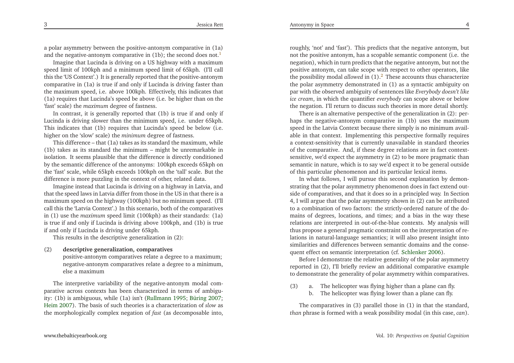3

<sup>a</sup> polar asymmetry between the positive-antonym comparative in (1a)and the negative-antonym comparative in ([1](#page-15-0)b); the second does not. $^{\mathbb{1}}$ 

Imagine that Lucinda is driving on <sup>a</sup> US highway with <sup>a</sup> maximum speed limit of 100kph and <sup>a</sup> minimum speed limit of 65kph. (I'll call this the 'US Context'.) It is generally reported that the positive-antonym comparative in (1a) is true if and only if Lucinda is driving faster than the maximum speed, i.e. above 100kph. Effectively, this indicates that (1a) requires that Lucinda's speed be above (i.e. be higher than on the'fast' scale) the *maximum* degree of fastness.

In contrast, it is generally reported that (1b) is true if and only if Lucinda is driving slower than the minimum speed, i.e. under 65kph. This indicates that (1b) requires that Lucinda's speed be below (i.e. higher on the 'slow' scale) the *minimum* degree of fastness.

This difference – that (1a) takes as its standard the maximum, while (1b) takes as its standard the minimum – might be unremarkable in isolation. It seems <sup>p</sup>lausible that the difference is directly conditioned by the semantic difference of the antonyms: 100kph exceeds 65kph on the 'fast' scale, while 65kph exceeds 100kph on the 'tall' scale. But thedifference is more puzzling in the context of other, related data.

Imagine instead that Lucinda is driving on <sup>a</sup> highway in Latvia, and that the speed laws in Latvia differ from those in the US in that there is <sup>a</sup> maximum speed on the highway (100kph) but no minimum speed. (I'll call this the 'Latvia Context'.) In this scenario, both of the comparatives in (1) use the *maximum* speed limit (100kph) as their standards: (1a) is true if and only if Lucinda is driving above 100kph, and (1b) is trueif and only if Lucinda is driving under 65kph.

This results in the descriptive generalization in (2):

#### (2)**descriptive generalization, comparatives**

 positive-antonym comparatives relate <sup>a</sup> degree to <sup>a</sup> maximum; negative-antonym comparatives relate <sup>a</sup> degree to <sup>a</sup> minimum, else <sup>a</sup> maximum

The interpretive variability of the negative-antonym modal comparative across contexts has been characterized in terms of ambiguity: (1b) is ambiguous, while (1a) isn't [\(Rullmann](#page-17-2) [1995](#page-17-2); [Büring](#page-16-9) [2007](#page-16-9); [Heim](#page-16-8) [2007](#page-16-8)). The basis of such theories is <sup>a</sup> characterization of *slow* as the morphologically complex negation of *fast* (as decomposable into,

roughly, 'not' and 'fast'). This predicts that the negative antonym, but not the positive antonym, has <sup>a</sup> scopable semantic componen<sup>t</sup> (i.e. the negation), which in turn predicts that the negative antonym, but not the positive antonym, can take scope with respec<sup>t</sup> to other operators, likethe possibility modal *allowed* in  $(1)$ .<sup>[2](#page-15-1)</sup> These accounts thus characterize the polar asymmetry demonstrated in (1) as <sup>a</sup> syntactic ambiguity on par with the observed ambiguity of sentences like *Everybody doesn't like ice cream*, in which the quantifier *everybody* can scope above or belowthe negation. I'll return to discuss such theories in more detail shortly.

<span id="page-2-1"></span>There is an alternative perspective of the generalization in (2): perhaps the negative-antonym comparative in (1b) uses the maximum speed in the Latvia Context because there simply is no minimum available in that context. Implementing this perspective formally requires <sup>a</sup> context-sensitivity that is currently unavailable in standard theories of the comparative. And, if these degree relations are in fact contextsensitive, we'd expec<sup>t</sup> the asymmetry in (2) to be more pragmatic than semantic in nature, which is to say we'd expec<sup>t</sup> it to be general outsideof this particular <sup>p</sup>henomenon and its particular lexical items.

In what follows, <sup>I</sup> will pursue this second explanation by demonstrating that the polar asymmetry <sup>p</sup>henomenon does in fact extend outside of comparatives, and that it does so in <sup>a</sup> principled way. In Section 4, <sup>I</sup> will argue that the polar asymmetry shown in (2) can be attributed to <sup>a</sup> combination of two factors: the strictly-ordered nature of the domains of degrees, locations, and times; and <sup>a</sup> bias in the way these relations are interpreted in out-of-the-blue contexts. My analysis will thus propose <sup>a</sup> general pragmatic constraint on the interpretation of relations in natural-language semantics; it will also presen<sup>t</sup> insight into similarities and differences between semantic domains and the consequen<sup>t</sup> effect on semantic interpretation (cf. [Schlenker](#page-17-3) [2006\)](#page-17-3).

<span id="page-2-0"></span>Before <sup>I</sup> demonstrate the relative generality of the polar asymmetry reported in (2), I'll briefly review an additional comparative exampleto demonstrate the generality of polar asymmetry within comparatives.

(3) a. The helicopter was flying higher than <sup>a</sup> <sup>p</sup>lane can fly. b. The helicopter was flying lower than <sup>a</sup> <sup>p</sup>lane can fly.

The comparatives in (3) parallel those in (1) in that the standard, *than* <sup>p</sup>hrase is formed with <sup>a</sup> weak possibility modal (in this case, *can*).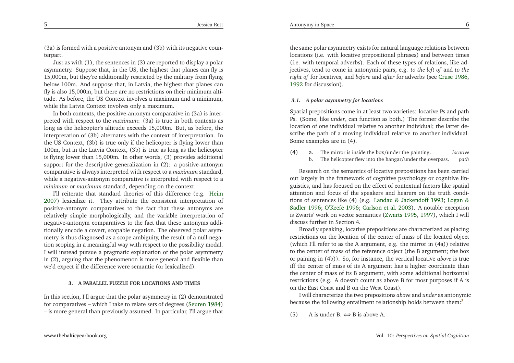(3a) is formed with <sup>a</sup> positive antonym and (3b) with its negative counterpart.

 Just as with (1), the sentences in (3) are reported to display <sup>a</sup> polar asymmetry. Suppose that, in the US, the highest that <sup>p</sup>lanes can fly is 15,000m, but they're additionally restricted by the military from flying below 100m. And suppose that, in Latvia, the highest that <sup>p</sup>lanes can fly is also 15,000m, but there are no restrictions on their minimum altitude. As before, the US Context involves <sup>a</sup> maximum and <sup>a</sup> minimum, while the Latvia Context involves only <sup>a</sup> maximum.

In both contexts, the positive-antonym comparative in (3a) is interpreted with respec<sup>t</sup> to the *maximum*: (3a) is true in both contexts as long as the helicopter's altitude exceeds 15,000m. But, as before, the interpretation of (3b) alternates with the context of interpretation. In the US Context, (3b) is true only if the helicopter is flying lower than 100m, but in the Latvia Context, (3b) is true as long as the helicopter is flying lower than 15,000m. In other words, (3) provides additional suppor<sup>t</sup> for the descriptive generalization in (2): <sup>a</sup> positive-antonym comparative is always interpreted with respec<sup>t</sup> to <sup>a</sup> *maximum* standard, while <sup>a</sup> negative-antonym comparative is interpreted with respec<sup>t</sup> to <sup>a</sup>*minimum* or *maximum* standard, depending on the context.

<span id="page-3-0"></span>I'll reiterate that standard theories of this difference (e.g. [Heim](#page-16-8) [2007](#page-16-8)) lexicalize it. They attribute the consistent interpretation of positive-antonym comparatives to the fact that these antonyms are relatively simple morphologically, and the variable interpretation of negative-antonym comparatives to the fact that these antonyms additionally encode <sup>a</sup> covert, scopable negation. The observed polar asymmetry is thus diagnosed as <sup>a</sup> scope ambiguity, the result of <sup>a</sup> null negation scoping in <sup>a</sup> meaningful way with respec<sup>t</sup> to the possibility modal. <sup>I</sup> will instead pursue <sup>a</sup> pragmatic explanation of the polar asymmetry in (2), arguing that the <sup>p</sup>henomenon is more general and flexible thanwe'd expec<sup>t</sup> if the difference were semantic (or lexicalized).

#### **3. <sup>A</sup> PARALLEL PUZZLE FOR LOCATIONS AND TIMES**

In this section, I'll argue that the polar asymmetry in (2) demonstrated for comparatives – which <sup>I</sup> take to relate sets of degrees [\(Seuren](#page-17-4) [1984](#page-17-4))– is more general than previously assumed. In particular, I'll argue that the same polar asymmetry exists for natural language relations between locations (i.e. with locative prepositional <sup>p</sup>hrases) and between times (i.e. with temporal adverbs). Each of these types of relations, like adjectives, tend to come in antonymic pairs, e.g. *to the left of* and *to the right of* for locatives, and *before* and *after* for adverbs (see [Cruse](#page-16-10) [1986](#page-16-10), [1992](#page-16-11) for discussion).

#### *3.1. <sup>A</sup> polar asymmetry for locations*

Spatial prepositions come in at least two varieties: locative Ps and path Ps. (Some, like *under*, can function as both.) The former describe the location of one individual relative to another individual; the latter describe the path of <sup>a</sup> moving individual relative to another individual. Some examples are in (4).

(4) a. The mirror is inside the box/under the painting. *locative*path b. The helicopter flew into the hangar/under the overpass.

Research on the semantics of locative prepositions has been carried out largely in the framework of cognitive psychology or cognitive linguistics, and has focused on the effect of contextual factors like spatial attention and focus of the speakers and hearers on the truth conditions of sentences like (4) (e.[g](#page-16-13). Landau & [Jackendoff](#page-16-12) [1993](#page-16-12); Logan & Sadler [1996](#page-16-13); [O'Keefe](#page-16-14) [1996](#page-16-14); [Carlson](#page-16-15) et al. [2003\)](#page-16-15). <sup>A</sup> notable exception is Zwarts' work on vector semantics [\(Zwarts](#page-17-5) [1995](#page-17-5), [1997\)](#page-17-6), which <sup>I</sup> willdiscuss further in Section 4.

Broadly speaking, locative prepositions are characterized as <sup>p</sup>lacing restrictions on the location of the center of mass of the located object (which I'll refer to as the <sup>A</sup> argument, e.g. the mirror in (4a)) relative to the center of mass of the reference object (the <sup>B</sup> argument; the box or paining in (4b)). So, for instance, the vertical locative *above* is true iff the center of mass of its <sup>A</sup> argumen<sup>t</sup> has <sup>a</sup> higher coordinate than the center of mass of its <sup>B</sup> argument, with some additional horizontalrestrictions (e.g. <sup>A</sup> doesn't count as above <sup>B</sup> for most purposes if <sup>A</sup> ison the East Coast and <sup>B</sup> on the West Coast).

<sup>I</sup> will characterize the two prepositions *above* and *under* as antonymic because the following entailment relationship holds between them:<sup>[3](#page-15-2)</sup>

(5) A is under B.  $\Leftrightarrow$  B is above A.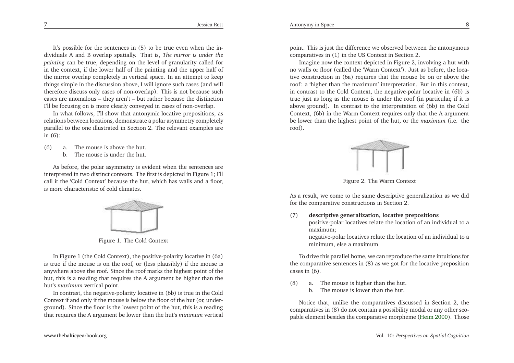Antonymy in Space $\epsilon$  8

It's possible for the sentences in (5) to be true even when the individuals <sup>A</sup> and <sup>B</sup> overlap spatially. That is, *The mirror is under the painting* can be true, depending on the level of granularity called for in the context, if the lower half of the painting and the upper half of the mirror overlap completely in vertical space. In an attempt to keep things simple in the discussion above, <sup>I</sup> will ignore such cases (and willtherefore discuss only cases of non-overlap). This is not because such cases are anomalous – they aren't – but rather because the distinctionI'll be focusing on is more clearly conveyed in cases of non-overlap.

In what follows, I'll show that antonymic locative prepositions, as relations between locations, demonstrate <sup>a</sup> polar asymmetry completely parallel to the one illustrated in Section 2. The relevant examples arein (6):

- $(6)$  a. The mouse is above the hut.
	- b. The mouse is under the hut.

As before, the polar asymmetry is evident when the sentences are interpreted in two distinct contexts. The first is depicted in Figure 1; I'll call it the 'Cold Context' because the hut, which has walls and <sup>a</sup> floor, is more characteristic of cold climates.



Figure 1. The Cold Context

In Figure <sup>1</sup> (the Cold Context), the positive-polarity locative in (6a) is true if the mouse is on the roof, or (less <sup>p</sup>lausibly) if the mouse is anywhere above the roof. Since the roof marks the highest point of the hut, this is <sup>a</sup> reading that requires the <sup>A</sup> argumen<sup>t</sup> be higher than thehut's *maximum* vertical point.

In contrast, the negative-polarity locative in (6b) is true in the Cold Context if and only if the mouse is below the floor of the hut (or, underground). Since the floor is the lowest point of the hut, this is <sup>a</sup> readingthat requires the <sup>A</sup> argumen<sup>t</sup> be lower than the hut's *minimum* vertical point. This is just the difference we observed between the antonymouscomparatives in (1) in the US Context in Section 2.

Imagine now the context depicted in Figure 2, involving <sup>a</sup> hut with no walls or floor (called the 'Warm Context'). Just as before, the locative construction in (6a) requires that the mouse be on or above the roof: <sup>a</sup> 'higher than the maximum' interpretation. But in this context, in contrast to the Cold Context, the negative-polar locative in (6b) is true just as long as the mouse is under the roof (in particular, if it is above ground). In contrast to the interpretation of (6b) in the Cold Context, (6b) in the Warm Context requires only that the <sup>A</sup> argumen<sup>t</sup> be lower than the highest point of the hut, or the *maximum* (i.e. the roof).



Figure 2. The Warm Context

As <sup>a</sup> result, we come to the same descriptive generalization as we didfor the comparative constructions in Section 2.

(7) **descriptive generalization, locative prepositions**positive-polar locatives relate the location of an individual to <sup>a</sup>

maximum;

 negative-polar locatives relate the location of an individual to <sup>a</sup>minimum, else <sup>a</sup> maximum

To drive this parallel home, we can reproduce the same intuitions for the comparative sentences in (8) as we go<sup>t</sup> for the locative prepositioncases in (6).

- (8) a. The mouse is higher than the hut.
	- b. The mouse is lower than the hut.

Notice that, unlike the comparatives discussed in Section 2, the comparatives in (8) do not contain <sup>a</sup> possibility modal or any other scopable element besides the comparative morpheme [\(Heim](#page-16-5) [2000\)](#page-16-5). Those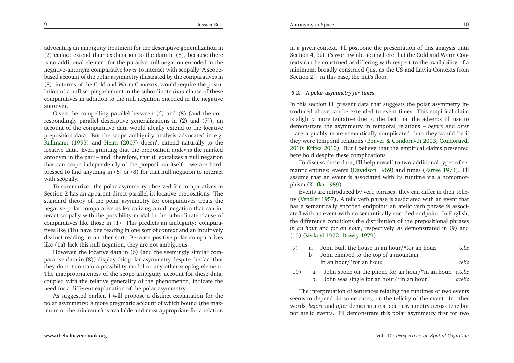advocating an ambiguity treatment for the descriptive generalization in (2) cannot extend their explanation to the data in (8), because there is no additional element for the putative null negation encoded in the negative-antonym comparative *lower* to interact with scopally. <sup>A</sup> scopebased account of the polar asymmetry illustrated by the comparatives in (8), in terms of the Cold and Warm Contexts, would require the postulation of <sup>a</sup> null scoping element in the subordinate *than* clause of these comparatives in addition to the null negation encoded in the negative antonym.

 Given the compelling parallel between (6) and (8) (and the correspondingly parallel descriptive generalizations in (2) and (7)), an account of the comparative data would ideally extend to the locative preposition data. But the scope ambiguity analysis advocated in e.g. [Rullmann](#page-17-2) [\(1995](#page-17-2)) and [Heim](#page-16-8) [\(2007](#page-16-8)) doesn't extend naturally to the locative data. Even granting that the preposition *under* is the marked antonym in the pair – and, therefore, that it lexicalizes <sup>a</sup> null negation that can scope independently of the preposition itself – we are hardpressed to find anything in (6) or (8) for that null negation to interact with scopally.

<span id="page-5-0"></span>To summarize: the polar asymmetry observed for comparatives in Section <sup>2</sup> has an apparen<sup>t</sup> direct parallel in locative prepositions. The standard theory of the polar asymmetry for comparatives treats the negative-polar comparative as lexicalizing <sup>a</sup> null negation that can interact scopally with the possibility modal in the subordinate clause of comparatives like those in (1). This predicts an ambiguity: comparatives like (1b) have one reading in one sort of context and an intuitively distinct reading in another sort. Because positive-polar comparativeslike (1a) lack this null negation, they are not ambiguous.

However, the locative data in (6) (and the seemingly similar comparative data in (8)) display this polar asymmetry despite the fact that they do not contain <sup>a</sup> possibility modal or any other scoping element. The inappropriateness of the scope ambiguity account for these data, coupled with the relative generality of the <sup>p</sup>henomenon, indicate theneed for <sup>a</sup> different explanation of the polar asymmetry.

As suggested earlier, <sup>I</sup> will propose <sup>a</sup> distinct explanation for the polar asymmetry: <sup>a</sup> more pragmatic account of which bound (the maximum or the minimum) is available and most appropriate for <sup>a</sup> relation in <sup>a</sup> <sup>g</sup>iven context. I'll postpone the presentation of this analysis untilSection 4, but it's worthwhile noting here that the Cold and Warm Contexts can be construed as differing with respec<sup>t</sup> to the availability of <sup>a</sup> minimum, broadly construed (just as the US and Latvia Contexts fromSection 2): in this case, the hut's floor.

#### *3.2. <sup>A</sup> polar asymmetry for times*

In this section I'll presen<sup>t</sup> data that suggests the polar asymmetry introduced above can be extended to event times. This empirical claim is slightly more tentative due to the fact that the adverbs I'll use to demonstrate the asymmetry in temporal relations – *before* and *after* – are arguably more semantically complicated than they would be if they were temporal relations (Beaver & [Condoravdi](#page-16-16) [2003](#page-16-16); [Condoravdi](#page-16-17) [2010](#page-16-17); [Krifka](#page-16-18) [2010](#page-16-18)). But <sup>I</sup> believe that the empirical claims presentedhere hold despite these complications.

To discuss these data, I'll help myself to two additional types of semantic entities: events [\(Davidson](#page-16-2) [1969](#page-16-2)) and times [\(Partee](#page-16-3) [1973\)](#page-16-3). I'll assume that an event is associated with its runtime via <sup>a</sup> homomor<sup>p</sup>hism [\(Krifka](#page-16-19) [1989](#page-16-19)).

Events are introduced by verb <sup>p</sup>hrases; they can differ in their telicity [\(Vendler](#page-17-7) [1957](#page-17-7)). <sup>A</sup> telic verb <sup>p</sup>hrase is associated with an event that has <sup>a</sup> semantically encoded endpoint; an atelic verb <sup>p</sup>hrase is associated with an event with no semantically encoded endpoint. In English, the difference conditions the distribution of the prepositional <sup>p</sup>hrases *in an hour* and *for an hour*, respectively, as demonstrated in (9) and (10) [\(Verkuyl](#page-17-8) [1972](#page-17-8); [Dowty](#page-16-20) [1979](#page-16-20)).

- (9) a. John built the house in an hour/\*for an hour. *telic*b. John climbed to the top of <sup>a</sup> mountainin an hour/\*for an hour. *telic*
- (10) a. John spoke on the <sup>p</sup>hone for an hour/\*in an hour. *atelic atelic*b. John was single for an hour/\*in an hour.<sup>[4](#page-15-3)</sup>

The interpretation of sentences relating the runtimes of two events seems to depend, in some cases, on the telicity of the event. In other words, *before* and *after* demonstrate <sup>a</sup> polar asymmetry across telic but not atelic events. I'll demonstrate this polar asymmetry first for two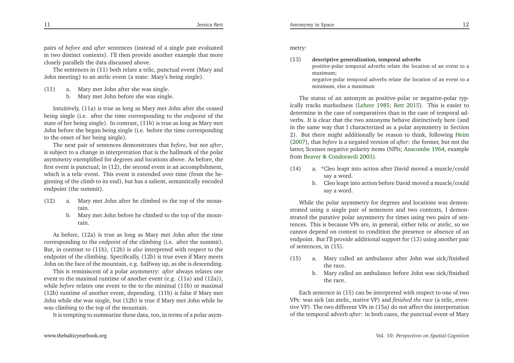pairs of *before* and *after* sentences (instead of <sup>a</sup> single pair evaluated in two distinct contexts). I'll then provide another example that moreclosely parallels the data discussed above.

The sentences in (11) both relate <sup>a</sup> telic, punctual event (Mary andJohn meeting) to an atelic event (a state: Mary's being single).

- (11) a. Mary met John after she was single.
	- b. Mary met John before she was single.

Intuitively, (11a) is true as long as Mary met John after she ceased being single (i.e. after the time corresponding to the *endpoint* of the state of her being single). In contrast, (11b) is true as long as Mary met John before she began being single (i.e. before the time correspondingto the onset of her being single).

The next pair of sentences demonstrates that *before*, but not *after*, is subject to <sup>a</sup> change in interpretation that is the hallmark of the polar asymmetry exemplified for degrees and locations above. As before, the first event is punctual; in (12), the second event is an accomplishment, which is a telic event. This event is extended over time (from the be-<br>singing of the climb to its and), but has a soligat, associatelly and ded <sup>g</sup>inning of the climb to its end), but has <sup>a</sup> salient, semantically encodedendpoint (the summit).

- (12) a. Mary met John after he climbed to the top of the mountain.
	- b. Mary met John before he climbed to the top of the mountain.

As before, (12a) is true as long as Mary met John after the time corresponding to the *endpoint* of the climbing (i.e. after the summit). But, in contrast to (11b), (12b) is *also* interpreted with respec<sup>t</sup> to the endpoint of the climbing. Specifically, (12b) is true even if Mary meetsJohn on the face of the mountain, e.g. halfway up, as she is descending.

This is reminiscent of <sup>a</sup> polar asymmetry: *after* always relates one event to the maximal runtime of another event (e.g. (11a) and (12a)), while *before* relates one event to the to the minimal (11b) or maximal (12b) runtime of another event, depending. (11b) is false if Mary met John while she was single, but (12b) is true if Mary met John while hewas climbing to the top of the mountain.

It is tempting to summarize these data, too, in terms of <sup>a</sup> polar asym-

metry:

(13) **descriptive generalization, temporal adverbs** positive-polar temporal adverbs relate the location of an event to <sup>a</sup>maximum; negative-polar temporal adverbs relate the location of an event to <sup>a</sup>minimum, else <sup>a</sup> maximum

The status of an antonym as positive-polar or negative-polar typically tracks markedness [\(Lehrer](#page-16-21) [1985](#page-16-21); [Rett](#page-17-9) [2015](#page-17-9)). This is easier to determine in the case of comparatives than in the case of temporal adverbs. It is clear that the two antonyms behave distinctively here (and in the same way that <sup>I</sup> characterized as <sup>a</sup> polar asymmetry in Section 2). But there might additionally be reason to think, following [Heim](#page-16-8) [\(2007](#page-16-8)), that *before* is <sup>a</sup> negated version of *after*: the former, but not the latter, licenses negative polarity items (NPIs; [Anscombe](#page-16-22) [1964](#page-16-22), examplefrom Beaver & [Condoravdi](#page-16-16) [2003](#page-16-16)).

- (14) a. \*Cleo leapt into action after David moved <sup>a</sup> muscle/couldsay <sup>a</sup> word.
	- b. Cleo leapt into action before David moved <sup>a</sup> muscle/couldsay <sup>a</sup> word.

While the polar asymmetry for degrees and locations was demonstrated using <sup>a</sup> single pair of sentences and two contexts, <sup>I</sup> demonstrated the putative polar asymmetry for times using two pairs of sentences. This is because VPs are, in general, either telic or atelic, so we cannot depend on context to condition the presence or absence of an endpoint. But I'll provide additional suppor<sup>t</sup> for (13) using another pairof sentences, in (15).

- (15) a. Mary called an ambulance after John was sick/finishedthe race.
	- b. Mary called an ambulance before John was sick/finishedthe race.

Each sentence in (15) can be interpreted with respec<sup>t</sup> to one of two VPs: was sick (an atelic, stative VP) and *finished the race* (a telic, eventive VP). The two different VPs in (15a) do not affect the interpretationof the temporal adverb *after*: in both cases, the punctual event of Mary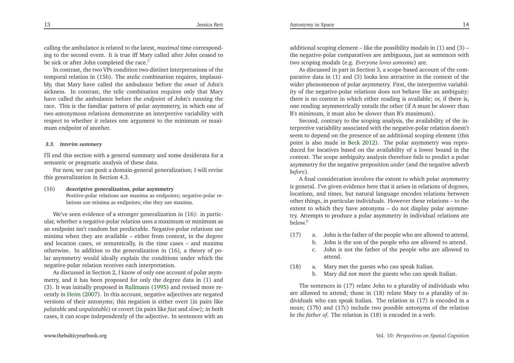<span id="page-7-1"></span>calling the ambulance is related to the latest, *maximal* time corresponding to the second event. It is true iff Mary called after John ceased tobe sick or after John completed the race.<sup>[5](#page-15-4)</sup>

In contrast, the two VPs condition two distinct interpretations of the temporal relation in (15b). The atelic combination requires, implausibly, that Mary have called the ambulance before the *onset* of John's sickness. In contrast, the telic combination requires only that Mary have called the ambulance before the *endpoint* of John's running the race. This is the familiar pattern of polar asymmetry, in which one of two antonymous relations demonstrate an interpretive variability with respec<sup>t</sup> to whether it relates one argumen<sup>t</sup> to the minimum or maximum endpoint of another.

#### *3.3. Interim summary*

I'll end this section with <sup>a</sup> general summary and some desiderata for <sup>a</sup>semantic or pragmatic analysis of these data.

For now, we can posit <sup>a</sup> domain-general generalization; <sup>I</sup> will revisethis generalization in Section 4.3.

(16) **descriptive generalization, polar asymmetry** Positive-polar relations use maxima as endpoints; negative-polar relations use minima as endpoints; else they use maxima.

We've seen evidence of <sup>a</sup> stronger generalization in (16): in particular, whether <sup>a</sup> negative-polar relation uses <sup>a</sup> maximum or minimum as an endpoint isn't random but predictable. Negative-polar relations use minima when they are available – either from context, in the degree and location cases, or semantically, in the time cases – and maxima otherwise. In addition to the generalization in (16), <sup>a</sup> theory of polar asymmetry would ideally explain the conditions under which thenegative-polar relation receives each interpretation.

As discussed in Section 2, <sup>I</sup> know of only one account of polar asymmetry, and it has been proposed for only the degree data in (1) and (3). It was initially proposed in [Rullmann](#page-17-2) [\(1995](#page-17-2)) and revised more recently in [Heim](#page-16-8) [\(2007](#page-16-8)). In this account, negative adjectives are negated versions of their antonyms; this negation is either overt (in pairs like *palatable* and *unpalatable*) or covert (in pairs like *fast* and *slow*); in both cases, it can scope independently of the adjective. In sentences with an

additional scoping element – like the possibility modals in (1) and (3) – the negative-polar comparatives are ambiguous, just as sentences withtwo scoping modals (e.g. *Everyone loves someone*) are.

As discussed in par<sup>t</sup> in Section 3, <sup>a</sup> scope-based account of the comparative data in (1) and (3) looks less attractive in the context of the wider <sup>p</sup>henomenon of polar asymmetry. First, the interpretive variability of the negative-polar relations does not behave like an ambiguity: there is no context in which either reading is available; or, if there is, one reading asymmetrically entails the other (if <sup>A</sup> must be slower thanB's minimum, it must also be slower than B's maximum).

Second, contrary to the scoping analysis, the availability of the interpretive variability associated with the negative-polar relation doesn't seem to depend on the presence of an additional scoping element (this point is also made in [Beck](#page-16-23) [2012\)](#page-16-23). The polar asymmetry was reproduced for locatives based on the availability of <sup>a</sup> lower bound in the context. The scope ambiguity analysis therefore fails to predict <sup>a</sup> polar asymmetry for the negative preposition *under* (and the negative adverb *before*).

<span id="page-7-0"></span> <sup>A</sup> final consideration involves the extent to which polar asymmetry is general. I've <sup>g</sup>iven evidence here that it arises in relations of degrees, locations, and times, but natural language encodes relations between other things, in particular individuals. However these relations – to the extent to which they have antonyms – do not display polar asymmetry. Attempts to produce <sup>a</sup> polar asymmetry in individual relations arebelow.[6](#page-15-5)

- (17) a. John is the father of the people who are allowed to attend.
	- b. John is the son of the people who are allowed to attend.
	- c. John is not the father of the people who are allowed toattend.
- (18) a. Mary met the guests who can speak Italian.
	- b. Mary did not meet the guests who can speak Italian.

The sentences in (17) relate John to <sup>a</sup> <sup>p</sup>lurality of individuals who are allowed to attend; those in (18) relate Mary to <sup>a</sup> <sup>p</sup>lurality of individuals who can speak Italian. The relation in (17) is encoded in <sup>a</sup> noun; (17b) and (17c) include two possible antonyms of the relation*be the father of*. The relation in (18) is encoded in <sup>a</sup> verb.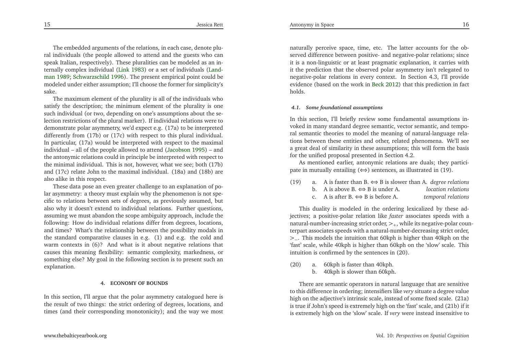The embedded arguments of the relations, in each case, denote <sup>p</sup>lural individuals (the people allowed to attend and the guests who can speak Italian, respectively). These <sup>p</sup>luralities can be modeled as an internally com[p](#page-16-25)lex individual [\(Link](#page-16-24) [1983](#page-16-24)) or <sup>a</sup> set of individuals (Landman [1989](#page-16-25); [Schwarzschild](#page-17-10) [1996](#page-17-10)). The presen<sup>t</sup> empirical point could be modeled under either assumption; I'll choose the former for simplicity'ssake.

 The maximum element of the <sup>p</sup>lurality is all of the individuals who satisfy the description; the minimum element of the <sup>p</sup>lurality is one such individual (or two, depending on one's assumptions about the selection restrictions of the <sup>p</sup>lural marker). If individual relations were to demonstrate polar asymmetry, we'd expec<sup>t</sup> e.g. (17a) to be interpreted differently from (17b) or (17c) with respec<sup>t</sup> to this <sup>p</sup>lural individual. In particular, (17a) would be interpreted with respec<sup>t</sup> to the maximal individual – all of the people allowed to attend [\(Jacobson](#page-16-26) [1995\)](#page-16-26) – and the antonymic relations could in principle be interpreted with respec<sup>t</sup> to the minimal individual. This is not, however, what we see; both (17b) and (17c) relate John to the maximal individual. (18a) and (18b) arealso alike in this respect.

These data pose an even greater challenge to an explanation of polar asymmetry: <sup>a</sup> theory must explain why the <sup>p</sup>henomenon is not specific to relations between sets of degrees, as previously assumed, but also why it doesn't extend to individual relations. Further questions, assuming we must abandon the scope ambiguity approach, include the following: How do individual relations differ from degrees, locations, and times? What's the relationship between the possibility modals in the standard comparative clauses in e.g. (1) and e.g. the cold and warm contexts in (6)? And what is it about negative relations that causes this meaning flexibility: semantic complexity, markedness, or something else? My goal in the following section is to presen<sup>t</sup> such anexplanation.

#### **4. ECONOMY OF BOUNDS**

In this section, I'll argue that the polar asymmetry catalogued here is the result of two things: the strict ordering of degrees, locations, andtimes (and their corresponding monotonicity); and the way we most

naturally perceive space, time, etc. The latter accounts for the observed difference between positive- and negative-polar relations; since it is <sup>a</sup> non-linguistic or at least pragmatic explanation, it carries with it the prediction that the observed polar asymmetry isn't relegated to negative-polar relations in every context. In Section 4.3, I'll provide evidence (based on the work in [Beck](#page-16-23) [2012](#page-16-23)) that this prediction in fact holds.

#### *4.1. Some foundational assumptions*

In this section, I'll briefly review some fundamental assumptions invoked in many standard degree semantic, vector semantic, and temporal semantic theories to model the meaning of natural-language relations between these entities and other, related <sup>p</sup>henomena. We'll see <sup>a</sup> grea<sup>t</sup> deal of similarity in these assumptions; this will form the basisfor the unified proposal presented in Section 4.2.

As mentioned earlier, antonymic relations are duals; they participate in mutually entailing  $(\Leftrightarrow)$  sentences, as illustrated in (19).

| (19) | a. A is faster than B. $\Leftrightarrow$ B is slower than A. <i>degree relations</i> |                    |
|------|--------------------------------------------------------------------------------------|--------------------|
|      | b. A is above B. $\iff$ B is under A.                                                | location relations |
|      | c. A is after B. $\iff$ B is before A.                                               | temporal relations |
|      |                                                                                      |                    |

This duality is modeled in the ordering lexicalized by these adjectives; <sup>a</sup> positive-polar relation like *faster* associates speeds with <sup>a</sup>natural-number-increasing strict order,  $\gt_+$ , while its negative-polar counterpart associates speeds with <sup>a</sup> natural-number-decreasing strict order, >−. This models the intuition that 60kph is higher than 40kph on the 'fast' scale, while 40kph is higher than 60kph on the 'slow' scale. Thisintuition is confirmed by the sentences in (20).

(20) a. 60kph is faster than 40kph. b. 40kph is slower than 60kph.

There are semantic operators in natural language that are sensitive to this difference in ordering; intensifiers like *very* situate <sup>a</sup> degree value high on the adjective's intrinsic scale, instead of some fixed scale. (21a) is true if John's speed is extremely high on the 'fast' scale, and (21b) if itis extremely high on the 'slow' scale. If *very* were instead insensitive to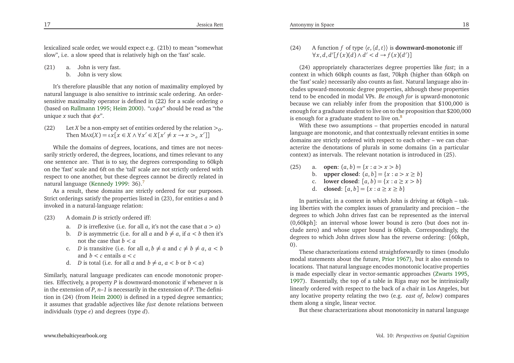lexicalized scale order, we would expec<sup>t</sup> e.g. (21b) to mean "somewhatslow", i.e. <sup>a</sup> slow speed that is relatively high on the 'fast' scale.

(21) a. John is very fast.

b. John is very slow.

It's therefore <sup>p</sup>lausible that any notion of maximality employed by natural language is also sensitive to intrinsic scale ordering. An ordersensitive maximality operator is defined in (22) for <sup>a</sup> scale ordering *<sup>o</sup>* (based on [Rullmann](#page-17-2) [1995](#page-17-2); [Heim](#page-16-5) [2000](#page-16-5)). "*ι<sup>x</sup> φ<sup>x</sup>*" should be read as "theunique*x* such that *φx*".

 $(22)$ Then  $\text{Max}(X) = \iota x[x \in X \land \forall x' \in X[x' \neq x \to x >_o x']$ *X* be a non-empty set of entities ordered by the relation  $>_0$ .

While the domains of degrees, locations, and times are not necessarily strictly ordered, the degrees, locations, and times relevant to any one sentence are. That is to say, the degrees corresponding to 60kph on the 'fast' scale and 6ft on the 'tall' scale are not strictly ordered with respec<sup>t</sup> to one another, but these degrees cannot be directly related innatural language [\(Kennedy](#page-16-27) [1999](#page-16-27): 36). [7](#page-15-6)

As <sup>a</sup> result, these domains are strictly ordered for our purposes. Strict orderings satisfy the properties listed in (23), for entities*a* and *b* invoked in <sup>a</sup> natural-language relation:

- (23) <sup>A</sup> domain*D* is strictly ordered iff:
	- a. *D* is irreflexive (i.e. for all *a*, it's not the case that  $a > a$ )
	- b. *D* is asymmetric (i.e. for all *a* and  $b \neq a$ , if  $a < b$  then it's not the case that *b* <sup>&</sup>lt;*a*
	- c. *D* is transitive (i.e. for all  $a, b \neq a$  and  $c \neq b \neq a$ ,  $a < b$ and *<sup>b</sup> <sup>&</sup>lt; <sup>c</sup>* entails *a<*
	- and *b* < *c* entails  $a < c$ <br> *d. D* is total (i.e. for all *a* and  $b \neq a$ ,  $a < b$  or  $b < a$ )

Similarly, natural language predicates can encode monotonic properties. Effectively, <sup>a</sup> property*P* is downward-monotonic if whenever <sup>n</sup> is in the extension of*P*, *n–1* is necessarily in the extension of *<sup>P</sup>*. The defini-tion in (24) (from [Heim](#page-16-5) [2000](#page-16-5)) is defined in a typed degree semantics;<br>it assumes that analyze alientime like fact denote making hatween it assumes that gradable adjectives like *fast* denote relations betweenindividuals (type *<sup>e</sup>*) and degrees (type *d*).

(24) A function *f* of type  $\langle e, \langle d, t \rangle \rangle$  is **downward-monotonic** iff  $\forall$ *x*, *d*, *d'*[*f*(*x*)(*d*) ∧ *d'* < *d* → *f*(*x*)(*d'*)]

 (24) appropriately characterizes degree properties like *fast*; in <sup>a</sup> context in which 60kph counts as fast, 70kph (higher than 60kph on the 'fast' scale) necessarily also counts as fast. Natural language also includes upward-monotonic degree properties, although these properties tend to be encoded in modal VPs. *Be enough for* is upward-monotonic because we can reliably infer from the proposition that \$100,000 is enough for <sup>a</sup> graduate student to live on to the proposition that \$200,000is enough for a graduate student to live on.<sup>[8](#page-15-7)</sup>

With these two assumptions – that properties encoded in naturallanguage are monotonic, and that contextually relevant entities in some domains are strictly ordered with respec<sup>t</sup> to each other – we can characterize the denotations of <sup>p</sup>lurals in some domains (in <sup>a</sup> particularcontext) as intervals. The relevant notation is introduced in (25).

- <span id="page-9-1"></span><span id="page-9-0"></span>(25) a. **open**:  $(a, b) = \{x : a > x > b\}$ <br>b. **upper closed**:  $(a, b) = \{x : a > a\}$ 
	- b. **upper closed**:  $(a, b] = \{x : a > x \ge b\}$
	- c. **lower closed**:  $[a, b] = \{x : a \ge x > b\}$
	- d. **closed**:  $[a, b] = \{x : a \ge x \ge b\}$

In particular, in <sup>a</sup> context in which John is driving at 60kph – taking liberties with the complex issues of granularity and precision – the degrees to which John drives fast can be represented as the interval (0,60kph]: an interval whose lower bound is zero (but does not include zero) and whose upper bound is 60kph. Correspondingly, the degrees to which John drives slow has the reverse ordering: [60kph, 0).

These characterizations extend straightforwardly to times (modulo modal statements about the future, [Prior](#page-17-11) [1967](#page-17-11)), but it also extends to locations. That natural language encodes monotonic locative properties is made especially clear in vector-semantic approaches [\(Zwarts](#page-17-5) [1995](#page-17-5), [1997](#page-17-6)). Essentially, the top of <sup>a</sup> table in Riga may not be intrinsically linearly ordered with respec<sup>t</sup> to the back of <sup>a</sup> chair in Los Angeles, but any locative property relating the two (e.g. *east of*, *below*) comparesthem along <sup>a</sup> single, linear vector.

But these characterizations about monotonicity in natural language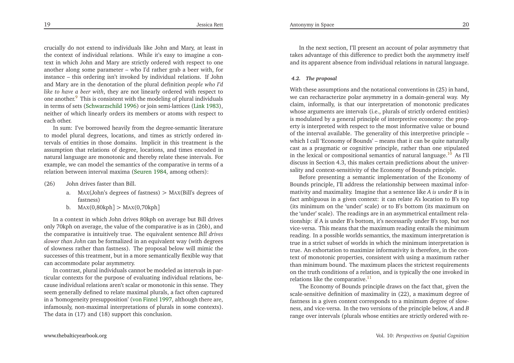crucially do not extend to individuals like John and Mary, at least in the context of individual relations. While it's easy to imagine <sup>a</sup> context in which John and Mary are strictly ordered with respec<sup>t</sup> to one another along some parameter – who I'd rather grab <sup>a</sup> beer with, for instance – this ordering isn't invoked by individual relations. If John and Mary are in the denotation of the <sup>p</sup>lural definition *people who I'd like to have <sup>a</sup> beer with*, they are not linearly ordered with respec<sup>t</sup> toone another.<sup>[9](#page-15-8)</sup> This is consistent with the modeling of plural individuals in terms of sets [\(Schwarzschild](#page-17-10) [1996\)](#page-17-10) or join semi-lattices [\(Link](#page-16-24) [1983\)](#page-16-24), neither of which linearly orders its members or atoms with respec<sup>t</sup> toeach other.

<span id="page-10-2"></span>In sum: I've borrowed heavily from the degree-semantic literature to model <sup>p</sup>lural degrees, locations, and times as strictly ordered intervals of entities in those domains. Implicit in this treatment is the assumption that relations of degree, locations, and times encoded in natural language are monotonic and thereby relate these intervals. For example, we can model the semantics of the comparative in terms of <sup>a</sup>relation between interval maxima [\(Seuren](#page-17-4) [1984,](#page-17-4) among others):

- (26) John drives faster than Bill.
	- a. <sup>M</sup>AX(John's degrees of fastness)><sup>M</sup>AX(Bill's degrees offastness)
	- b. <sup>M</sup>AX(0,80kph] <sup>&</sup>gt; <sup>M</sup>AX(0,70kph]

In <sup>a</sup> context in which John drives 80kph on average but Bill drives only 70kph on average, the value of the comparative is as in (26b), and the comparative is intuitively true. The equivalent sentence *Bill drives slower than John* can be formalized in an equivalent way (with degrees of slowness rather than fastness). The proposal below will mimic the successes of this treatment, but in <sup>a</sup> more semantically flexible way thatcan accommodate polar asymmetry.

In contrast, <sup>p</sup>lural individuals cannot be modeled as intervals in particular contexts for the purpose of evaluating individual relations, because individual relations aren't scalar or monotonic in this sense. They seem generally defined to relate maximal <sup>p</sup>lurals, <sup>a</sup> fact often captured in <sup>a</sup> 'homogeneity presupposition' (von [Fintel](#page-17-12) [1997](#page-17-12), although there are, infamously, non-maximal interpretations of <sup>p</sup>lurals in some contexts). The data in (17) and (18) suppor<sup>t</sup> this conclusion.

In the next section, I'll presen<sup>t</sup> an account of polar asymmetry that takes advantage of this difference to predict both the asymmetry itselfand its apparen<sup>t</sup> absence from individual relations in natural language.

#### <span id="page-10-0"></span>*4.2. The proposal*

With these assumptions and the notational conventions in (25) in hand, we can recharacterize polar asymmetry in <sup>a</sup> domain-general way. My claim, informally, is that our interpretation of monotonic predicates whose arguments are intervals (i.e., <sup>p</sup>lurals of strictly ordered entities) is modulated by <sup>a</sup> general principle of interpretive economy: the property is interpreted with respec<sup>t</sup> to the most informative value or bound of the interval available. The generality of this interpretive principle – which <sup>I</sup> call 'Economy of Bounds' – means that it can be quite naturally cast as <sup>a</sup> pragmatic or cognitive principle, rather than one stipulatedin the lexical or compositional semantics of natural language.<sup>[10](#page-15-9)</sup> As I'll discuss in Section 4.3, this makes certain predictions about the universality and context-sensitivity of the Economy of Bounds principle.

<span id="page-10-1"></span>Before presenting <sup>a</sup> semantic implementation of the Economy of Bounds principle, I'll address the relationship between maximal informativity and maximality. Imagine that <sup>a</sup> sentence like *<sup>A</sup> is under <sup>B</sup>* is in fact ambiguous in <sup>a</sup> <sup>g</sup>iven context: it can relate A's location to B's top (its minimum on the 'under' scale) or to B's bottom (its maximum on the 'under' scale). The readings are in an asymmetrical entailment relationship: if <sup>A</sup> is under B's bottom, it's necessarily under B's top, but not vice-versa. This means that the maximum reading entails the minimum reading. In <sup>a</sup> possible worlds semantics, the maximum interpretation is true in <sup>a</sup> strict subset of worlds in which the minimum interpretation is true. An exhortation to maximize informativity is therefore, in the context of monotonic properties, consistent with using <sup>a</sup> maximum rather than minimum bound. The maximum <sup>p</sup>laces the strictest requirements on the truth conditions of <sup>a</sup> relation, and is typically the one invoked inrelations like the comparative. $11$ 

The Economy of Bounds principle draws on the fact that, <sup>g</sup>iven the scale-sensitive definition of maximality in (22), a maximum degree of<br>fectures in a given content sequence of the a minimum degree of class. fastness in <sup>a</sup> <sup>g</sup>iven context corresponds to <sup>a</sup> minimum degree of slowness, and vice-versa. In the two versions of the principle below, *A* and *B*range over intervals (plurals whose entities are strictly ordered with re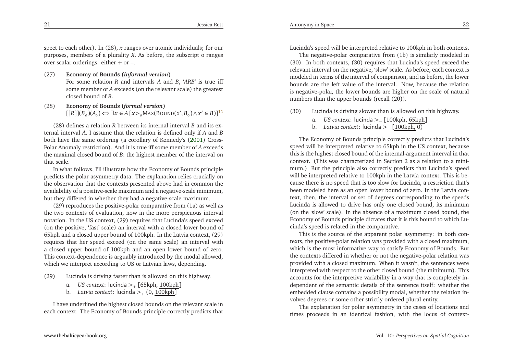spec<sup>t</sup> to each other). In (28), *<sup>x</sup>* ranges over atomic individuals; for our purposes, members of <sup>a</sup> <sup>p</sup>lurality *<sup>X</sup>*. As before, the subscript <sup>o</sup> ranges over scalar orderings: either <sup>+</sup> or –.

- (27) **Economy of Bounds (***informal version***)** For some relation *<sup>R</sup>* and intervals *<sup>A</sup>* and *<sup>B</sup>*, '*ARB*' is true iff some member of *<sup>A</sup>* exceeds (on the relevant scale) the greatest closed bound of *<sup>B</sup>*.
- (28) **Economy of Bounds (***formal version***)** $[[R]](B_o)(A_o) \Longleftrightarrow \exists x \in A \, [x >_o \text{MAX}(BOUND(x', B_o) \land x' \in B)]^{12}$  $[[R]](B_o)(A_o) \Longleftrightarrow \exists x \in A \, [x >_o \text{MAX}(BOUND(x', B_o) \land x' \in B)]^{12}$  $[[R]](B_o)(A_o) \Longleftrightarrow \exists x \in A \, [x >_o \text{MAX}(BOUND(x', B_o) \land x' \in B)]^{12}$

(28) defines <sup>a</sup> relation *<sup>R</sup>* between its internal interval *<sup>B</sup>* and its external interval *<sup>A</sup>*. <sup>I</sup> assume that the relation is defined only if *<sup>A</sup>* and *<sup>B</sup>* both have the same ordering (a corollary of Kennedy's [\(2001](#page-16-30)) Cross-Polar Anomaly restriction). And it is true iff some member of *<sup>A</sup>* exceeds the maximal closed bound of *<sup>B</sup>*: the highest member of the interval onthat scale.

In what follows, I'll illustrate how the Economy of Bounds principle predicts the polar asymmetry data. The explanation relies crucially on the observation that the contexts presented above had in common the availability of <sup>a</sup> positive-scale maximum and <sup>a</sup> negative-scale minimum, but they differed in whether they had <sup>a</sup> negative-scale maximum.

(29) reproduces the positive-polar comparative from (1a) as well as the two contexts of evaluation, now in the more perspicuous interval notation. In the US context, (29) requires that Lucinda's speed exceed (on the positive, 'fast' scale) an interval with <sup>a</sup> closed lower bound of 65kph and <sup>a</sup> closed upper bound of 100kph. In the Latvia context, (29) requires that her speed exceed (on the same scale) an interval with <sup>a</sup> closed upper bound of 100kph and an open lower bound of zero. This context-dependence is arguably introduced by the modal allowed, which we interpret according to US or Latvian laws, depending.

- (29) Lucinda is driving faster than is allowed on this highway.
	- a. *US context*: lucinda <sup>&</sup>gt;<sup>+</sup> [65kph, 100kph]
	- b. *Latvia context*: lucinda <sup>&</sup>gt;<sup>+</sup> (0, 100kph]

<sup>I</sup> have underlined the highest closed bounds on the relevant scale ineach context. The Economy of Bounds principle correctly predicts that

Lucinda's speed will be interpreted relative to 100kph in both contexts.

The negative-polar comparative from (1b) is similarly modeled in (30). In both contexts, (30) requires that Lucinda's speed exceed the relevant interval on the negative, 'slow' scale. As before, each context is modeled in terms of the interval of comparison, and as before, the lower bounds are the left value of the interval. Now, because the relation is negative-polar, the lower bounds are higher on the scale of naturalnumbers than the upper bounds (recall (20)).

- (30) Lucinda is driving slower than is allowed on this highway.
	- a. *US context*: lucinda <sup>&</sup>gt;<sup>−</sup> [100kph, 65kph]
	- b. *Latvia context*: lucinda <sup>&</sup>gt;<sup>−</sup> [100kph, <sup>0</sup>)

The Economy of Bounds principle correctly predicts that Lucinda's speed will be interpreted relative to 65kph in the US context, because this is the highest closed bound of the internal-argument interval in that context. (This was characterized in Section <sup>2</sup> as <sup>a</sup> relation to <sup>a</sup> minimum.) But the principle also correctly predicts that Lucinda's speed will be interpreted relative to 100kph in the Latvia context. This is because there is no speed that is too slow for Lucinda, <sup>a</sup> restriction that's been modeled here as an open lower bound of zero. In the Latvia context, then, the interval or set of degrees corresponding to the speeds Lucinda is allowed to drive has only one closed bound, its minimum (on the 'slow' scale). In the absence of <sup>a</sup> maximum closed bound, the Economy of Bounds principle dictates that it is this bound to which Lucinda's speed is related in the comparative.

<span id="page-11-0"></span>This is the source of the apparen<sup>t</sup> polar asymmetry: in both contexts, the positive-polar relation was provided with <sup>a</sup> closed maximum, which is the most informative way to satisfy Economy of Bounds. But the contexts differed in whether or not the negative-polar relation was provided with <sup>a</sup> closed maximum. When it wasn't, the sentences were interpreted with respec<sup>t</sup> to the other closed bound (the minimum). This accounts for the interpretive variability in <sup>a</sup> way that is completely independent of the semantic details of the sentence itself: whether the embedded clause contains <sup>a</sup> possibility modal, whether the relation involves degrees or some other strictly-ordered <sup>p</sup>lural entity.

The explanation for polar asymmetry in the cases of locations andtimes proceeds in an identical fashion, with the locus of context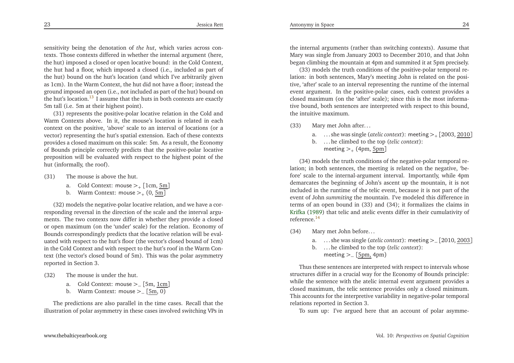23

<span id="page-12-1"></span>sensitivity being the denotation of *the hut*, which varies across contexts. Those contexts differed in whether the internal argumen<sup>t</sup> (here, the hut) imposed <sup>a</sup> closed or open locative bound: in the Cold Context, the hut had <sup>a</sup> floor, which imposed <sup>a</sup> closed (i.e., included as par<sup>t</sup> of the hut) bound on the hut's location (and which I've arbitrarily <sup>g</sup>iven as 1cm). In the Warm Context, the hut did not have <sup>a</sup> floor; instead the ground imposed an open (i.e., not included as par<sup>t</sup> of the hut) bound onthe hut's location.<sup>[13](#page-16-31)</sup> I assume that the huts in both contexts are exactly 5m tall (i.e. 5m at their highest point).

(31) represents the positive-polar locative relation in the Cold and Warm Contexts above. In it, the mouse's location is related in each context on the positive, 'above' scale to an interval of locations (or <sup>a</sup> vector) representing the hut's spatial extension. Each of these contexts provides <sup>a</sup> closed maximum on this scale: 5m. As <sup>a</sup> result, the Economy of Bounds principle correctly predicts that the positive-polar locative preposition will be evaluated with respec<sup>t</sup> to the highest point of thehut (informally, the roof).

- (31) The mouse is above the hut.
	- a. Cold Context: mouse  $>_{+}$  [1cm,  $\frac{5m}{1}$ ]
	- b. Warm Context: mouse ><sub>+</sub> (0, <u>5m</u>]

(32) models the negative-polar locative relation, and we have <sup>a</sup> corresponding reversal in the direction of the scale and the interval arguments. The two contexts now differ in whether they provide <sup>a</sup> closed or open maximum (on the 'under' scale) for the relation. Economy of Bounds correspondingly predicts that the locative relation will be evaluated with respec<sup>t</sup> to the hut's floor (the vector's closed bound of 1cm) in the Cold Context and with respec<sup>t</sup> to the hut's roof in the Warm Context (the vector's closed bound of 5m). This was the polar asymmetryreported in Section 3.

- (32) The mouse is under the hut.
	- a. Cold Context: mouse > $-[5m, \underline{1cm}]$
	- b. Warm Context: mouse ><sub>−</sub> [<u>5m</u>, 0)

The predictions are also parallel in the time cases. Recall that theillustration of polar asymmetry in these cases involved switching VPs in

the internal arguments (rather than switching contexts). Assume that Mary was single from January <sup>2003</sup> to December 2010, and that Johnbegan climbing the mountain at 4pm and summited it at 5pm precisely.

<span id="page-12-0"></span>(33) models the truth conditions of the positive-polar temporal relation: in both sentences, Mary's meeting John is related on the positive, 'after' scale to an interval representing the runtime of the internal event argument. In the positive-polar cases, each context provides <sup>a</sup> closed maximum (on the 'after' scale); since this is the most informative bound, both sentences are interpreted with respec<sup>t</sup> to this bound, the intuitive maximum.

- (33) Mary met John after...
	- a. ... she was single (*atelic context*): meeting <sup>&</sup>gt;<sup>+</sup> [2003, <sup>2010</sup>]
	- b. ... he climbed to the top (*telic context*):meeting  $>_{+}$  (4pm, <u>5pm</u>]

(34) models the truth conditions of the negative-polar temporal relation; in both sentences, the meeting is related on the negative, 'before' scale to the internal-argument interval. Importantly, while 4pm demarcates the beginning of John's ascent up the mountain, it is not included in the runtime of the telic event, because it is not par<sup>t</sup> of the event of John *summiting* the mountain. I've modeled this difference in terms of an open bound in (33) and (34); it formalizes the claims in [Krifka](#page-16-19) [\(1989](#page-16-19)) that telic and atelic events differ in their cumulativity of reference.[14](#page-16-32)

- (34) Mary met John before...
	- a. ... she was single (*atelic context*): meeting <sup>&</sup>gt;<sup>−</sup> [2010, <sup>2003</sup>]
	- b. ... he climbed to the top (*telic context*):
		- meeting ><sub>−</sub> [<u>5pm,</u> 4pm)

Thus these sentences are interpreted with respec<sup>t</sup> to intervals whose structures differ in <sup>a</sup> crucial way for the Economy of Bounds principle: while the sentence with the atelic internal event argumen<sup>t</sup> provides <sup>a</sup> closed maximum, the telic sentence provides only <sup>a</sup> closed minimum. This accounts for the interpretive variability in negative-polar temporalrelations reported in Section 3.

To sum up: I've argued here that an account of polar asymme-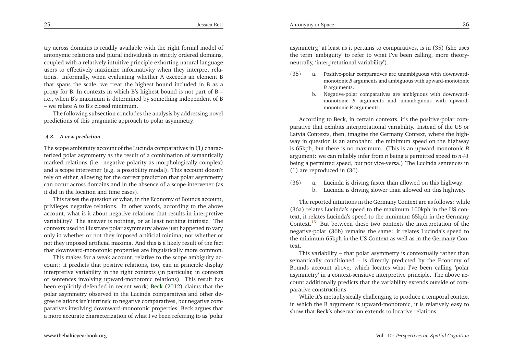25

<span id="page-13-0"></span>try across domains is readily available with the right formal model of antonymic relations and <sup>p</sup>lural individuals in strictly ordered domains, coupled with <sup>a</sup> relatively intuitive principle exhorting natural language users to effectively maximize informativity when they interpret relations. Informally, when evaluating whether <sup>A</sup> exceeds an element <sup>B</sup> that spans the scale, we treat the highest bound included in <sup>B</sup> as <sup>a</sup> proxy for B. In contexts in which B's highest bound is not par<sup>t</sup> of <sup>B</sup> – i.e., when B's maximum is determined by something independent of <sup>B</sup>– we relate <sup>A</sup> to B's closed minimum.

The following subsection concludes the analysis by addressing novelpredictions of this pragmatic approach to polar asymmetry.

#### *4.3. <sup>A</sup> new prediction*

The scope ambiguity account of the Lucinda comparatives in (1) characterized polar asymmetry as the result of <sup>a</sup> combination of semantically marked relations (i.e. negative polarity as morphologically complex) and <sup>a</sup> scope intervener (e.g. <sup>a</sup> possibility modal). This account doesn't rely on either, allowing for the correct prediction that polar asymmetry can occur across domains and in the absence of <sup>a</sup> scope intervener (asit did in the location and time cases).

This raises the question of what, in the Economy of Bounds account, privileges negative relations. In other words, according to the above account, what is it about negative relations that results in interpretive variability? The answer is nothing, or at least nothing intrinsic. The contexts used to illustrate polar asymmetry above just happened to vary only in whether or not they imposed artificial minima, not whether or not they imposed artificial maxima. And this is <sup>a</sup> likely result of the factthat downward-monotonic properties are linguistically more common.

This makes for <sup>a</sup> weak account, relative to the scope ambiguity account: it predicts that positive relations, too, can in principle display interpretive variability in the right contexts (in particular, in contexts or sentences involving upward-monotonic relations). This result has been explicitly defended in recent work; [Beck](#page-16-23) [\(2012](#page-16-23)) claims that the polar asymmetry observed in the Lucinda comparatives and other degree relations isn't intrinsic to negative comparatives, but negative comparatives involving downward-monotonic properties. Beck argues that <sup>a</sup> more accurate characterization of what I've been referring to as 'polar

asymmetry,' at least as it pertains to comparatives, is in (35) (she uses the term 'ambiguity' to refer to what I've been calling, more theoryneutrally, 'interpretational variability').

- (35) a. Positive-polar comparatives are unambiguous with downwardmonotonic*B* arguments and ambiguous with upward-monotonic *B* arguments.
	- b. Negative-polar comparatives are ambiguous with downwardmonotonic*B* arguments and unambiguous with upwardmonotonic*B* arguments.

According to Beck, in certain contexts, it's the positive-polar comparative that exhibits interpretational variability. Instead of the US or Latvia Contexts, then, imagine the Germany Context, where the highway in question is an autobahn: the minimum speed on the highway is 65kph, but there is no maximum. (This is an upward-monotonic*B* argument: we can reliably infer from*n* being <sup>a</sup> permitted speed to *n+1* being <sup>a</sup> permitted speed, but not vice-versa.) The Lucinda sentences in(1) are reproduced in (36).

(36) a. Lucinda is driving faster than allowed on this highway. b. Lucinda is driving slower than allowed on this highway.

The reported intuitions in the Germany Context are as follows: while (36a) relates Lucinda's speed to the maximum 100kph in the US context, it relates Lucinda's speed to the minimum 65kph in the GermanyContext.<sup>[15](#page-16-33)</sup> But between these two contexts the interpretation of the negative-polar (36b) remains the same: it relates Lucinda's speed to the minimum 65kph in the US Context as well as in the Germany Context.

This variability – that polar asymmetry is contextually rather than semantically conditioned – is directly predicted by the Economy of Bounds account above, which locates what I've been calling 'polar asymmetry' in <sup>a</sup> context-sensitive interpretive principle. The above account additionally predicts that the variability extends outside of comparative constructions.

While it's metaphysically challenging to produce <sup>a</sup> temporal context in which the <sup>B</sup> argumen<sup>t</sup> is upward-monotonic, it is relatively easy toshow that Beck's observation extends to locative relations.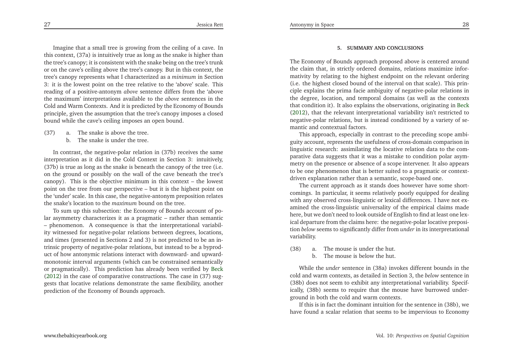Imagine that <sup>a</sup> small tree is growing from the ceiling of <sup>a</sup> cave. In this context, (37a) is intuitively true as long as the snake is higher than the tree's canopy; it is consistent with the snake being on the tree's trunk or on the cave's ceiling above the tree's canopy. But in this context, the tree's canopy represents what <sup>I</sup> characterized as <sup>a</sup> *minimum* in Section 3: it is the lowest point on the tree relative to the 'above' scale. This reading of <sup>a</sup> positive-antonym *above* sentence differs from the 'above the maximum' interpretations available to the *above* sentences in the Cold and Warm Contexts. And it is predicted by the Economy of Bounds principle, <sup>g</sup>iven the assumption that the tree's canopy imposes <sup>a</sup> closedbound while the cave's ceiling imposes an open bound.

- (37) a. The snake is above the tree.
	- b. The snake is under the tree.

In contrast, the negative-polar relation in (37b) receives the same interpretation as it did in the Cold Context in Section 3: intuitively, (37b) is true as long as the snake is beneath the canopy of the tree (i.e. on the ground or possibly on the wall of the cave beneath the tree's canopy). This is the objective minimum in this context – the lowest point on the tree from our perspective – but it is the highest point on the 'under' scale. In this case, the negative-antonym preposition relatesthe snake's location to the *maximum* bound on the tree.

To sum up this subsection: the Economy of Bounds account of po lar asymmetry characterizes it as <sup>a</sup> pragmatic – rather than semantic – <sup>p</sup>henomenon. <sup>A</sup> consequence is that the interpretational variability witnessed for negative-polar relations between degrees, locations, and times (presented in Sections <sup>2</sup> and 3) is not predicted to be an intrinsic property of negative-polar relations, but instead to be <sup>a</sup> byproduct of how antonymic relations interact with downward- and upwardmonotonic interval arguments (which can be constrained semantically or pragmatically). This prediction has already been verified by [Beck](#page-16-23) [\(2012](#page-16-23)) in the case of comparative constructions. The case in (37) suggests that locative relations demonstrate the same flexibility, anotherprediction of the Economy of Bounds approach.

#### **5. SUMMARY AND CONCLUSIONS**

The Economy of Bounds approach proposed above is centered around the claim that, in strictly ordered domains, relations maximize informativity by relating to the highest endpoint on the relevant ordering (i.e. the highest closed bound of the interval on that scale). This principle explains the prima facie ambiguity of negative-polar relations in the degree, location, and temporal domains (as well as the contexts that condition it). It also explains the observations, originating in [Beck](#page-16-23) [\(2012](#page-16-23)), that the relevant interpretational variability isn't restricted to negative-polar relations, but is instead conditioned by <sup>a</sup> variety of semantic and contextual factors.

This approach, especially in contrast to the preceding scope ambiguity account, represents the usefulness of cross-domain comparison in linguistic research: assimilating the locative relation data to the comparative data suggests that it was <sup>a</sup> mistake to condition polar asymmetry on the presence or absence of <sup>a</sup> scope intervener. It also appears to be one <sup>p</sup>henomenon that is better suited to <sup>a</sup> pragmatic or contextdriven explanation rather than <sup>a</sup> semantic, scope-based one.

The current approach as it stands does however have some shortcomings. In particular, it seems relatively poorly equipped for dealing with any observed cross-linguistic or lexical differences. <sup>I</sup> have not examined the cross-linguistic universality of the empirical claims made here, but we don't need to look outside of English to find at least one lexical departure from the claims here: the negative-polar locative preposition *below* seems to significantly differ from *under* in its interpretational variability.

- (38) a. The mouse is under the hut.
	- b. The mouse is below the hut.

While the *under* sentence in (38a) invokes different bounds in the cold and warm contexts, as detailed in Section 3, the *below* sentence in (38b) does not seem to exhibit any interpretational variability. Specifically, (38b) seems to require that the mouse have burrowed underground in both the cold and warm contexts.

If this is in fact the dominant intuition for the sentence in (38b), wehave found <sup>a</sup> scalar relation that seems to be impervious to Economy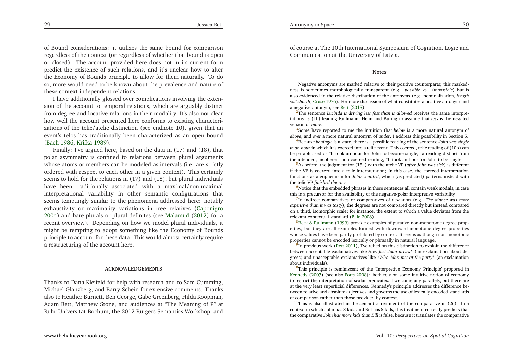<span id="page-15-7"></span>of Bound considerations: it utilizes the same bound for comparison regardless of the context (or regardless of whether that bound is open or closed). The account provided here does not in its current form predict the existence of such relations, and it's unclear how to alter the Economy of Bounds principle to allow for them naturally. To do so, more would need to be known about the prevalence and nature ofthese context-independent relations.

<span id="page-15-9"></span><span id="page-15-8"></span><span id="page-15-6"></span><sup>I</sup> have additionally <sup>g</sup>lossed over complications involving the extension of the account to temporal relations, which are arguably distinct from degree and locative relations in their modality. It's also not clear how well the account presented here conforms to existing characterizations of the telic/atelic distinction (see endnote 10), <sup>g</sup>iven that an event's telos has traditionally been characterized as an open bound[\(Bach](#page-16-34) [1986](#page-16-34); [Krifka](#page-16-19) [1989](#page-16-19)).

Finally: I've argued here, based on the data in (17) and (18), that polar asymmetry is confined to relations between <sup>p</sup>lural arguments whose atoms or members can be modeled as intervals (i.e. are strictly ordered with respec<sup>t</sup> to each other in <sup>a</sup> <sup>g</sup>iven context). This certainly seems to hold for the relations in (17) and (18), but <sup>p</sup>lural individuals have been traditionally associated with <sup>a</sup> maximal/non-maximalinterpretational variability in other semantic configurations that seems temptingly similar to the <sup>p</sup>henomena addressed here: notably exhaustivity or maximality variations in free relatives [\(Caponigro](#page-16-35) [2004](#page-16-35)) and bare <sup>p</sup>lurals or <sup>p</sup>lural definites (see [Malamud](#page-16-36) [\(2012](#page-16-36)) for <sup>a</sup> recent overview). Depending on how we model <sup>p</sup>lural individuals, it might be tempting to adopt something like the Economy of Bounds principle to account for these data. This would almost certainly require<sup>a</sup> restructuring of the account here.

#### **ACKNOWLEDGEMENTS**

Thanks to Dana Kleifeld for help with research and to Sam Cumming, Michael Glanzberg, and Barry Schein for extensive comments. Thanks also to Heather Burnett, Ben George, Gabe Greenberg, Hilda Koopman, Adam Rett, Matthew Stone, and audiences at "The Meaning of P" at Ruhr-Universität Bochum, the <sup>2012</sup> Rutgers Semantics Workshop, and

<span id="page-15-5"></span><span id="page-15-4"></span><span id="page-15-3"></span><span id="page-15-2"></span><span id="page-15-1"></span>of course at The 10th International Symposium of Cognition, Logic andCommunication at the University of Latvia.

#### **Notes**

<span id="page-15-0"></span> $1$ Negative antonyms are marked relative to their positive counterparts; this markedness is sometimes morphologically transparent (e.g. *possible* vs. *impossible*) but is also evidenced in the relative distribution of the antonyms (e.g. nominalization, *length* vs.\**shorth*; [Cruse](#page-16-37) [1976](#page-16-37)). For more discussion of what constitutes <sup>a</sup> positive antonym and<sup>a</sup> negative antonym, see [Rett](#page-17-9) [\(2015\)](#page-17-9).

[2](#page-2-1)The sentence *Lucinda is driving less fast than is allowed* receives the same interpretations as (1b) leading Rullmann, Heim and Büring to assume that *less* is the negatedversion of *more*.

<sup>[3](#page-3-0)</sup>Some have reported to me the intuition that *below* is a more natural antonym of *above*, and *over* <sup>a</sup> more natural antonym of *under*. <sup>I</sup> address this possibility in Section 5.

[4](#page-5-0)Because *be single* is <sup>a</sup> state, there is <sup>a</sup> possible reading of the sentence *John was single in an hour* in which it is coerced into <sup>a</sup> telic event. This coerced, telic reading of (10b) can be paraphrased as "It took an hour for John to become single," <sup>a</sup> reading distinct fromthe intended, incoherent non-coerced reading, "It took an hour for John to be single."

 [5](#page-7-0)As before, the judgment for (15a) with the atelic VP (*after John was sick*) is different if the VP is coerced into <sup>a</sup> telic interpretation; in this case, the coerced interpretation functions as <sup>a</sup> euphemism for *John vomited*, which (as predicted) patterns instead withthe telic VP *finished the race*.

 $6$ Notice that the embedded phrases in these sentences all contain weak modals, in case this is <sup>a</sup> precursor for the availability of the negative-polar interpretive variability.

[7](#page-9-0)In indirect comparatives or comparatives of deviation (e.g. *The dinner was more expensive than it was tasty*), the degrees are not compared directly but instead compared on <sup>a</sup> third, isomorphic scale; for instance, the extent to which <sup>a</sup> value deviates from therelevant contextual standard [\(Bale](#page-16-38) [2008](#page-16-38)).

 $^8$  $^8$ Beck & [Rullmann](#page-16-39) [\(1999\)](#page-16-39) provide examples of putative non-monotonic degree properties, but they are all examples formed with downward-monotonic degree properties whose values have been partly prohibited by context. It seems as though non-monotonicproperties cannot be encoded lexically or <sup>p</sup>hrasally in natural language.

 $\frac{9}{9}$  $\frac{9}{9}$  $\frac{9}{9}$ In previous work [\(Rett](#page-17-13) [2011\)](#page-17-13), I've relied on this distinction to explain the difference between acceptable exclamatives like *How fast John drives!* (an exclamation about degrees) and unacceptable exclamatives like \**Who John met at the party!* (an exclamationabout individuals).

<sup>[10](#page-10-1)</sup>This principle is reminiscent of the 'Interpretive Economy Principle' proposed in [Kennedy](#page-16-40) [\(2007\)](#page-16-40) (see also [Potts](#page-17-14) [2008](#page-17-14)): both rely on some intuitive notion of economy to restrict the interpretation of scalar predicates. <sup>I</sup> welcome any parallels, but there are at the very least superficial differences. Kennedy's principle addresses the difference between relative and absolute adjectives and governs the use of lexically encoded standardsof comparison rather than those provided by context.

 $11$ This is also illustrated in the semantic treatment of the comparative in (26). In a context in which John has <sup>3</sup> kids and Bill has <sup>5</sup> kids, this treatment correctly predicts thatthe comparative *John has more kids than Bill* is false, because it translates the comparative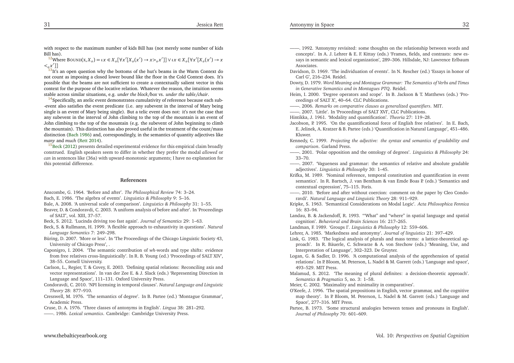<span id="page-16-39"></span><span id="page-16-38"></span><span id="page-16-37"></span><span id="page-16-36"></span><span id="page-16-35"></span><span id="page-16-25"></span><span id="page-16-24"></span><span id="page-16-23"></span><span id="page-16-21"></span><span id="page-16-17"></span><span id="page-16-16"></span><span id="page-16-15"></span><span id="page-16-14"></span><span id="page-16-13"></span><span id="page-16-12"></span><span id="page-16-10"></span><span id="page-16-9"></span><span id="page-16-7"></span><span id="page-16-4"></span><span id="page-16-3"></span><span id="page-16-1"></span>with respec<sup>t</sup> to the maximum number of kids Bill has (not merely some number of kidsBill has).

<sup>[12](#page-11-0)</sup>Where BOUND(x, X<sub>0</sub>) =  $\iota x \in X_o[\forall x'[X_o(x') \rightarrow x >_o x']] \vee \iota x \in X_o[\forall x'[X_o(x') \rightarrow x']$  $\leq_{\alpha} x'$ ]]

 $13$ It's an open question why the bottoms of the hut's beams in the Warm Context do not count as imposing <sup>a</sup> closed lower bound like the floor in the Cold Context does. It's possible that the beams are not sufficient to create <sup>a</sup> contextually salient vector in this context for the purpose of the locative relation. Whatever the reason, the intuition seemsstable across similar situations, e.g. *under the block/box* vs. *under the table/chair*.

 $^{14}$  $^{14}$  $^{14}$ Specifically, an atelic event demonstrates cumulativity of reference because each sub--event also satisfies the event predicate (i.e. any subevent in the interval of Mary being single is an event of Mary being single). But <sup>a</sup> telic event does not: it's not the case that any subevent in the interval of John climbing to the top of the mountain is an event of John climbing to the top of the mountain (e.g. the subevent of John beginning to climb the mountain). This distinction has also proved useful in the treatment of the count/mass distinction [\(Bach](#page-16-34) [1986](#page-16-34)) and, correspondingly, in the semantics of quantity adjectives like*many* and *much* [\(Rett](#page-17-15) [2014](#page-17-15)).

<sup>[15](#page-13-0)</sup>[Beck](#page-16-23) [\(2012](#page-16-23)) presents detailed experimental evidence for this empirical claim broadly construed. English speakers seem to differ in whether they prefer the modal *allowed* or *can* in sentences like (36a) with upward-monotonic arguments; <sup>I</sup> have no explanation for this potential difference.

#### **References**

- Anscombe, G. 1964. 'Before and after'. *The Philosophical Review* 74: 3–24.
- Bach, E. 1986. 'The algebra of events'. *Linguistics & Philosophy* 9: 5–16.
- Bale, A. 2008. 'A universal scale of comparison'. *Linguistics & Philosophy* 31: 1–55.
- Beaver, D. & Condoravdi, C. 2003. 'A uniform analysis of before and after'. In 'Proceedingsof SALT', vol. XIII, 37–57.
- Beck, S. 2012. 'Lucinda driving too fast again'. *Journal of Semantics* 29: 1–63.
- Beck, S. & Rullmann, H. 1999. 'A flexible approach to exhaustivity in questions'. *Natural Language Semantics* 7: 249–298.
- Büring, D. 2007. 'More or less'. In 'The Proceedings of the Chicago Linguistic Society 43, University of Chicago Press', .
- Caponigro, I. 2004. 'The semantic contribution of *wh*-words and type shifts: evidence from free relatives cross-linguistically'. In R. B. Young (ed.) 'Proceedings of SALT XIV', 38–55. Cornell University.
- Carlson, L., Regier, T. & Covey, E. 2003. 'Defining spatial relations: Reconciling axis and vector representations'. In van der Zee E. & J. Slack (eds.) 'Representing Direction inLanguage and Space', 111–131. Oxford University Press.
- Condoravdi, C. 2010. 'NPI licensing in temporal clauses'. *Natural Language and LinguisticTheory* 28: 877–910.
- Cresswell, M. 1976. 'The semantics of degree'. In B. Partee (ed.) 'Montague Grammar', Academic Press.
- Cruse, D. A. 1976. 'Three classes of antonyms in English'. *Lingua* 38: 281–292.
- ——. 1986. *Lexical semantics*. Cambridge: Cambridge University Press.
- <span id="page-16-40"></span><span id="page-16-34"></span><span id="page-16-33"></span><span id="page-16-31"></span><span id="page-16-30"></span><span id="page-16-29"></span><span id="page-16-28"></span><span id="page-16-27"></span><span id="page-16-26"></span><span id="page-16-22"></span><span id="page-16-20"></span><span id="page-16-19"></span><span id="page-16-18"></span><span id="page-16-11"></span><span id="page-16-8"></span><span id="page-16-6"></span><span id="page-16-5"></span><span id="page-16-2"></span><span id="page-16-0"></span>——. 1992. 'Antonymy revisited: some thoughts on the relationship between words and concepts'. In A. J. Lehrer & E. F. Kittay (eds.) 'Frames, fields, and contrasts: new essays in semantic and lexical organization', 289–306. Hillsdale, NJ: Lawrence ErlbaumAssociates.
- Davidson, D. 1969. 'The individuation of events'. In N. Rescher (ed.) 'Essays in honor ofCarl G', 216–234. Reidel.
- Dowty, D. 1979. Word Meaning and Montague Grammar: The Semantics of Verbs and Times *in Generative Semantics and in Montagues PTQ*. Reidel.

<span id="page-16-32"></span>Heim, I. 2000. 'Degree operators and scope'. In B. Jackson & T. Matthews (eds.) 'Proceedings of SALT X', 40–64. CLC Publications.

- ——. 2006. *Remarks on comparative clauses as generalized quantifiers*. MIT.
- ——. 2007. 'Little'. In 'Proceedings of SALT XVI', CLC Publications.
- Hintikka, J. 1961. 'Modality and quantification'. *Theoria* 27: 119–28.
- Jacobson, P. 1995. 'On the quantificational force of English free relatives'. In E. Bach, E. Jelinek, A. Kratzer & B. Partee (eds.) 'Quantification in Natural Language', 451–486. Kluwer.
- Kennedy, C. 1999. *Projecting the adjective: the syntax and semantics of gradability andcomparison*. Garland Press.
- ——. 2001. 'Polar opposition and the ontology of degrees'. *Linguistics & Philosophy* 24: 33–70.
- ——. 2007. 'Vagueness and grammar: the semantics of relative and absolute gradable adjectives'. *Linguistics & Philosophy* 30: 1–45.
- Krifka, M. 1989. 'Nominal reference, temporal constitution and quantification in event semantics'. In R. Bartsch, J. van Bentham & van Emde Boas P. (eds.) 'Semantics andcontextual expression', 75–115. Foris.
- ——. 2010. 'Before and after without coercion: comment on the paper by Cleo Condoravdi'. *Natural Language and Linguistic Theory* 28: 911–929.
- Kripke, S. 1963. 'Semantical Considerations on Modal Logic'. *Acta Philosophica Fennica*16: 83–94.
- Landau, B. & Jackendoff, R. 1993. "'What" and "where" in spatial language and spatialcognition'. *Behavioral and Brain Sciences* 16: 217–265.
- Landman, F. 1989. 'Groups I'. *Linguistics & Philosophy* 12: 559–606.
- Lehrer, A. 1985. 'Markedness and antonymy'. *Journal of linguistics* 21: 397–429.
- Link, G. 1983. 'The logical analysis of <sup>p</sup>lurals and mass terms: <sup>a</sup> lattice-theoretical approach'. In R. Bäuerle, C. Schwarze & A. von Stechow (eds.) 'Meaning, Use, andInterpretation of Language', 302–323. De Gruyter.
- Logan, G. & Sadler, D. 1996. 'A computational analysis of the apprehension of spatial relations'. In P. Bloom, M. Peterson, L. Nadel & M. Garrett (eds.) 'Language and space', 493–529. MIT Press.
- Malamud, S. 2012. 'The meaning of <sup>p</sup>lural definites: <sup>a</sup> decision-theoretic approach'. *Semantics & Pragmatics* 5, no. 3: 1–58.

Meier, C. 2002. 'Maximality and minimality in comparatives'.

- O'Keefe, J. 1996. 'The spatial prepositions in English, vector grammar, and the cognitive map theory'. In P. Bloom, M. Peterson, L. Nadel & M. Garrett (eds.) 'Language andSpace', 277–316. MIT Press.
- Partee, B. 1973. 'Some structural analogies between tenses and pronouns in English'. *Journal of Philosophy* 70: 601–609.